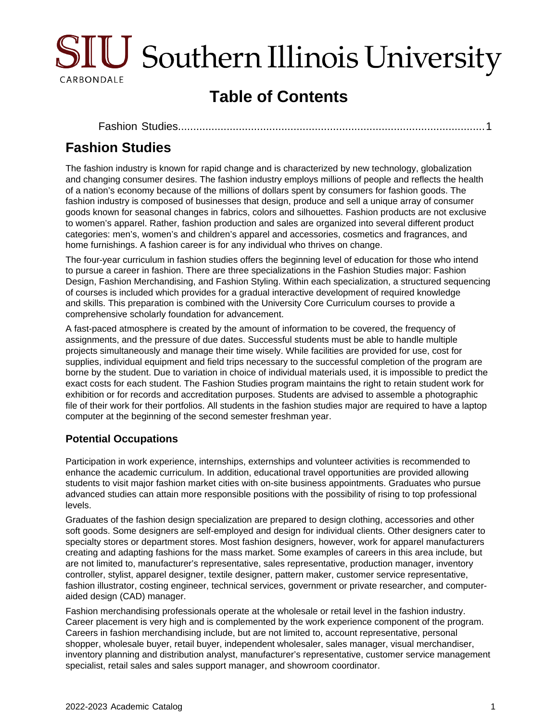

# **Table of Contents**

[Fashion Studies.................................................................................................](#page-0-0)....1

## <span id="page-0-0"></span>**Fashion Studies**

The fashion industry is known for rapid change and is characterized by new technology, globalization and changing consumer desires. The fashion industry employs millions of people and reflects the health of a nation's economy because of the millions of dollars spent by consumers for fashion goods. The fashion industry is composed of businesses that design, produce and sell a unique array of consumer goods known for seasonal changes in fabrics, colors and silhouettes. Fashion products are not exclusive to women's apparel. Rather, fashion production and sales are organized into several different product categories: men's, women's and children's apparel and accessories, cosmetics and fragrances, and home furnishings. A fashion career is for any individual who thrives on change.

The four-year curriculum in fashion studies offers the beginning level of education for those who intend to pursue a career in fashion. There are three specializations in the Fashion Studies major: Fashion Design, Fashion Merchandising, and Fashion Styling. Within each specialization, a structured sequencing of courses is included which provides for a gradual interactive development of required knowledge and skills. This preparation is combined with the University Core Curriculum courses to provide a comprehensive scholarly foundation for advancement.

A fast-paced atmosphere is created by the amount of information to be covered, the frequency of assignments, and the pressure of due dates. Successful students must be able to handle multiple projects simultaneously and manage their time wisely. While facilities are provided for use, cost for supplies, individual equipment and field trips necessary to the successful completion of the program are borne by the student. Due to variation in choice of individual materials used, it is impossible to predict the exact costs for each student. The Fashion Studies program maintains the right to retain student work for exhibition or for records and accreditation purposes. Students are advised to assemble a photographic file of their work for their portfolios. All students in the fashion studies major are required to have a laptop computer at the beginning of the second semester freshman year.

## **Potential Occupations**

Participation in work experience, internships, externships and volunteer activities is recommended to enhance the academic curriculum. In addition, educational travel opportunities are provided allowing students to visit major fashion market cities with on-site business appointments. Graduates who pursue advanced studies can attain more responsible positions with the possibility of rising to top professional levels.

Graduates of the fashion design specialization are prepared to design clothing, accessories and other soft goods. Some designers are self-employed and design for individual clients. Other designers cater to specialty stores or department stores. Most fashion designers, however, work for apparel manufacturers creating and adapting fashions for the mass market. Some examples of careers in this area include, but are not limited to, manufacturer's representative, sales representative, production manager, inventory controller, stylist, apparel designer, textile designer, pattern maker, customer service representative, fashion illustrator, costing engineer, technical services, government or private researcher, and computeraided design (CAD) manager.

Fashion merchandising professionals operate at the wholesale or retail level in the fashion industry. Career placement is very high and is complemented by the work experience component of the program. Careers in fashion merchandising include, but are not limited to, account representative, personal shopper, wholesale buyer, retail buyer, independent wholesaler, sales manager, visual merchandiser, inventory planning and distribution analyst, manufacturer's representative, customer service management specialist, retail sales and sales support manager, and showroom coordinator.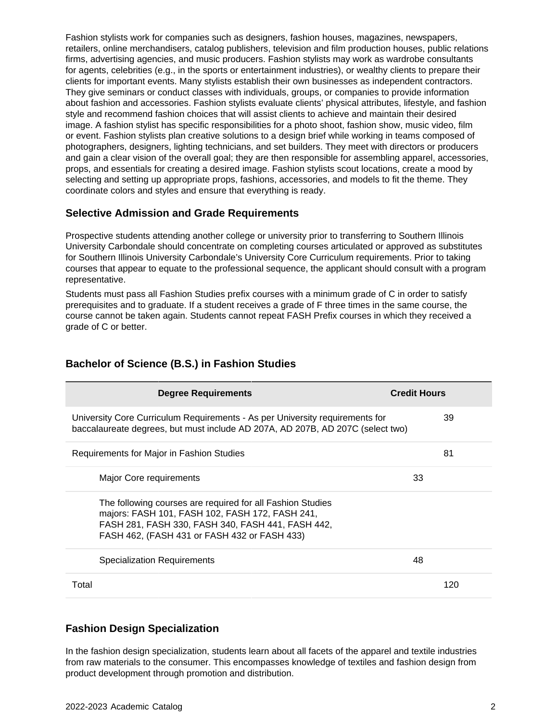Fashion stylists work for companies such as designers, fashion houses, magazines, newspapers, retailers, online merchandisers, catalog publishers, television and film production houses, public relations firms, advertising agencies, and music producers. Fashion stylists may work as wardrobe consultants for agents, celebrities (e.g., in the sports or entertainment industries), or wealthy clients to prepare their clients for important events. Many stylists establish their own businesses as independent contractors. They give seminars or conduct classes with individuals, groups, or companies to provide information about fashion and accessories. Fashion stylists evaluate clients' physical attributes, lifestyle, and fashion style and recommend fashion choices that will assist clients to achieve and maintain their desired image. A fashion stylist has specific responsibilities for a photo shoot, fashion show, music video, film or event. Fashion stylists plan creative solutions to a design brief while working in teams composed of photographers, designers, lighting technicians, and set builders. They meet with directors or producers and gain a clear vision of the overall goal; they are then responsible for assembling apparel, accessories, props, and essentials for creating a desired image. Fashion stylists scout locations, create a mood by selecting and setting up appropriate props, fashions, accessories, and models to fit the theme. They coordinate colors and styles and ensure that everything is ready.

#### **Selective Admission and Grade Requirements**

Prospective students attending another college or university prior to transferring to Southern Illinois University Carbondale should concentrate on completing courses articulated or approved as substitutes for Southern Illinois University Carbondale's University Core Curriculum requirements. Prior to taking courses that appear to equate to the professional sequence, the applicant should consult with a program representative.

Students must pass all Fashion Studies prefix courses with a minimum grade of C in order to satisfy prerequisites and to graduate. If a student receives a grade of F three times in the same course, the course cannot be taken again. Students cannot repeat FASH Prefix courses in which they received a grade of C or better.

| <b>Degree Requirements</b>                                                                                                                                                                                         | <b>Credit Hours</b> |
|--------------------------------------------------------------------------------------------------------------------------------------------------------------------------------------------------------------------|---------------------|
| University Core Curriculum Requirements - As per University requirements for<br>baccalaureate degrees, but must include AD 207A, AD 207B, AD 207C (select two)                                                     | 39                  |
| Requirements for Major in Fashion Studies                                                                                                                                                                          | 81                  |
| Major Core requirements                                                                                                                                                                                            | 33                  |
| The following courses are required for all Fashion Studies<br>majors: FASH 101, FASH 102, FASH 172, FASH 241,<br>FASH 281, FASH 330, FASH 340, FASH 441, FASH 442,<br>FASH 462, (FASH 431 or FASH 432 or FASH 433) |                     |
| Specialization Requirements                                                                                                                                                                                        | 48                  |
| Total                                                                                                                                                                                                              | 120                 |

#### **Bachelor of Science (B.S.) in Fashion Studies**

#### **Fashion Design Specialization**

In the fashion design specialization, students learn about all facets of the apparel and textile industries from raw materials to the consumer. This encompasses knowledge of textiles and fashion design from product development through promotion and distribution.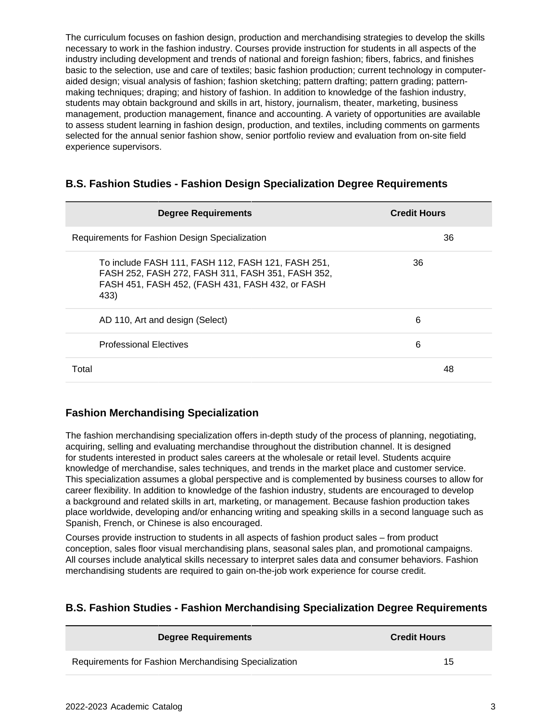The curriculum focuses on fashion design, production and merchandising strategies to develop the skills necessary to work in the fashion industry. Courses provide instruction for students in all aspects of the industry including development and trends of national and foreign fashion; fibers, fabrics, and finishes basic to the selection, use and care of textiles; basic fashion production; current technology in computeraided design; visual analysis of fashion; fashion sketching; pattern drafting; pattern grading; patternmaking techniques; draping; and history of fashion. In addition to knowledge of the fashion industry, students may obtain background and skills in art, history, journalism, theater, marketing, business management, production management, finance and accounting. A variety of opportunities are available to assess student learning in fashion design, production, and textiles, including comments on garments selected for the annual senior fashion show, senior portfolio review and evaluation from on-site field experience supervisors.

#### **B.S. Fashion Studies - Fashion Design Specialization Degree Requirements**

| <b>Degree Requirements</b>                                                                                                                                          | <b>Credit Hours</b> |
|---------------------------------------------------------------------------------------------------------------------------------------------------------------------|---------------------|
| Requirements for Fashion Design Specialization                                                                                                                      | 36                  |
| To include FASH 111, FASH 112, FASH 121, FASH 251,<br>FASH 252, FASH 272, FASH 311, FASH 351, FASH 352,<br>FASH 451, FASH 452, (FASH 431, FASH 432, or FASH<br>433) | 36                  |
| AD 110, Art and design (Select)                                                                                                                                     | 6                   |
| <b>Professional Electives</b>                                                                                                                                       | 6                   |
| Total                                                                                                                                                               | 48                  |

### **Fashion Merchandising Specialization**

The fashion merchandising specialization offers in-depth study of the process of planning, negotiating, acquiring, selling and evaluating merchandise throughout the distribution channel. It is designed for students interested in product sales careers at the wholesale or retail level. Students acquire knowledge of merchandise, sales techniques, and trends in the market place and customer service. This specialization assumes a global perspective and is complemented by business courses to allow for career flexibility. In addition to knowledge of the fashion industry, students are encouraged to develop a background and related skills in art, marketing, or management. Because fashion production takes place worldwide, developing and/or enhancing writing and speaking skills in a second language such as Spanish, French, or Chinese is also encouraged.

Courses provide instruction to students in all aspects of fashion product sales – from product conception, sales floor visual merchandising plans, seasonal sales plan, and promotional campaigns. All courses include analytical skills necessary to interpret sales data and consumer behaviors. Fashion merchandising students are required to gain on-the-job work experience for course credit.

### **B.S. Fashion Studies - Fashion Merchandising Specialization Degree Requirements**

| <b>Degree Requirements</b>                            | <b>Credit Hours</b> |
|-------------------------------------------------------|---------------------|
| Requirements for Fashion Merchandising Specialization | 15                  |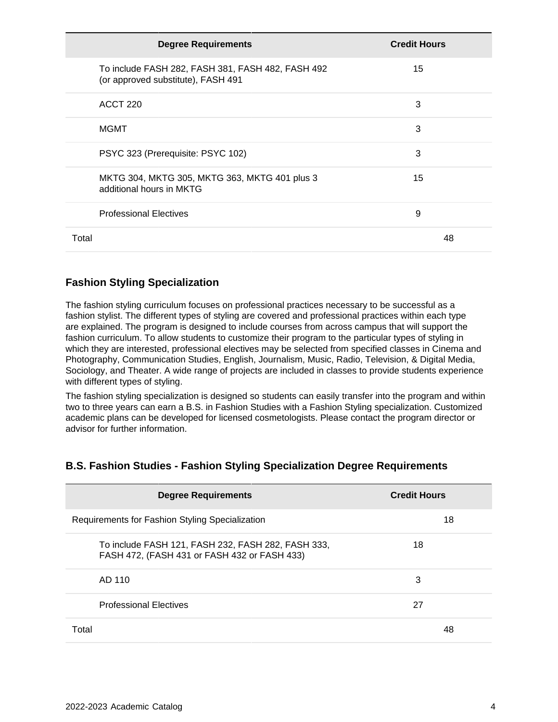| <b>Degree Requirements</b>                                                              | <b>Credit Hours</b> |
|-----------------------------------------------------------------------------------------|---------------------|
| To include FASH 282, FASH 381, FASH 482, FASH 492<br>(or approved substitute), FASH 491 | 15                  |
| ACCT 220                                                                                | 3                   |
| MGMT                                                                                    | 3                   |
| PSYC 323 (Prerequisite: PSYC 102)                                                       | 3                   |
| MKTG 304, MKTG 305, MKTG 363, MKTG 401 plus 3<br>additional hours in MKTG               | 15                  |
| <b>Professional Electives</b>                                                           | 9                   |
| Total                                                                                   | 48                  |

### **Fashion Styling Specialization**

The fashion styling curriculum focuses on professional practices necessary to be successful as a fashion stylist. The different types of styling are covered and professional practices within each type are explained. The program is designed to include courses from across campus that will support the fashion curriculum. To allow students to customize their program to the particular types of styling in which they are interested, professional electives may be selected from specified classes in Cinema and Photography, Communication Studies, English, Journalism, Music, Radio, Television, & Digital Media, Sociology, and Theater. A wide range of projects are included in classes to provide students experience with different types of styling.

The fashion styling specialization is designed so students can easily transfer into the program and within two to three years can earn a B.S. in Fashion Studies with a Fashion Styling specialization. Customized academic plans can be developed for licensed cosmetologists. Please contact the program director or advisor for further information.

### **B.S. Fashion Studies - Fashion Styling Specialization Degree Requirements**

| <b>Degree Requirements</b>                                                                         | <b>Credit Hours</b> |
|----------------------------------------------------------------------------------------------------|---------------------|
| Requirements for Fashion Styling Specialization                                                    | 18                  |
| To include FASH 121, FASH 232, FASH 282, FASH 333,<br>FASH 472, (FASH 431 or FASH 432 or FASH 433) | 18                  |
| AD 110                                                                                             | 3                   |
| <b>Professional Electives</b>                                                                      | 27                  |
| Total                                                                                              | 48                  |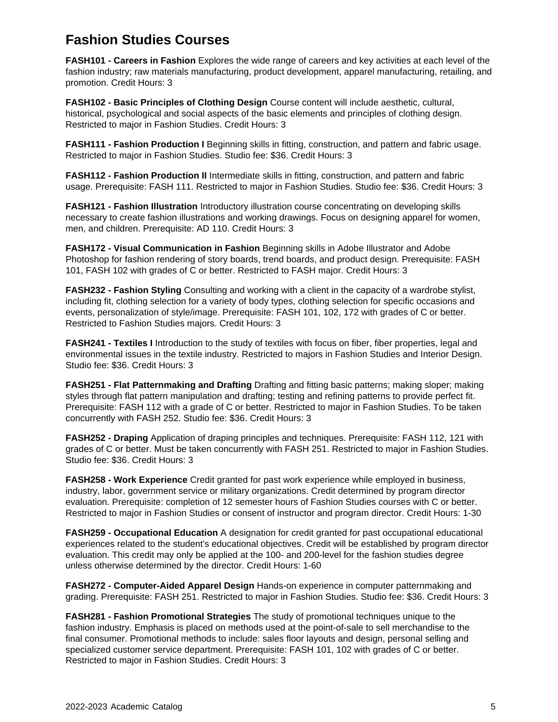## **Fashion Studies Courses**

**FASH101 - Careers in Fashion** Explores the wide range of careers and key activities at each level of the fashion industry; raw materials manufacturing, product development, apparel manufacturing, retailing, and promotion. Credit Hours: 3

**FASH102 - Basic Principles of Clothing Design** Course content will include aesthetic, cultural, historical, psychological and social aspects of the basic elements and principles of clothing design. Restricted to major in Fashion Studies. Credit Hours: 3

**FASH111 - Fashion Production I** Beginning skills in fitting, construction, and pattern and fabric usage. Restricted to major in Fashion Studies. Studio fee: \$36. Credit Hours: 3

**FASH112 - Fashion Production II** Intermediate skills in fitting, construction, and pattern and fabric usage. Prerequisite: FASH 111. Restricted to major in Fashion Studies. Studio fee: \$36. Credit Hours: 3

**FASH121 - Fashion Illustration** Introductory illustration course concentrating on developing skills necessary to create fashion illustrations and working drawings. Focus on designing apparel for women, men, and children. Prerequisite: AD 110. Credit Hours: 3

**FASH172 - Visual Communication in Fashion** Beginning skills in Adobe Illustrator and Adobe Photoshop for fashion rendering of story boards, trend boards, and product design. Prerequisite: FASH 101, FASH 102 with grades of C or better. Restricted to FASH major. Credit Hours: 3

**FASH232 - Fashion Styling** Consulting and working with a client in the capacity of a wardrobe stylist, including fit, clothing selection for a variety of body types, clothing selection for specific occasions and events, personalization of style/image. Prerequisite: FASH 101, 102, 172 with grades of C or better. Restricted to Fashion Studies majors. Credit Hours: 3

**FASH241 - Textiles I** Introduction to the study of textiles with focus on fiber, fiber properties, legal and environmental issues in the textile industry. Restricted to majors in Fashion Studies and Interior Design. Studio fee: \$36. Credit Hours: 3

**FASH251 - Flat Patternmaking and Drafting** Drafting and fitting basic patterns; making sloper; making styles through flat pattern manipulation and drafting; testing and refining patterns to provide perfect fit. Prerequisite: FASH 112 with a grade of C or better. Restricted to major in Fashion Studies. To be taken concurrently with FASH 252. Studio fee: \$36. Credit Hours: 3

**FASH252 - Draping** Application of draping principles and techniques. Prerequisite: FASH 112, 121 with grades of C or better. Must be taken concurrently with FASH 251. Restricted to major in Fashion Studies. Studio fee: \$36. Credit Hours: 3

**FASH258 - Work Experience** Credit granted for past work experience while employed in business, industry, labor, government service or military organizations. Credit determined by program director evaluation. Prerequisite: completion of 12 semester hours of Fashion Studies courses with C or better. Restricted to major in Fashion Studies or consent of instructor and program director. Credit Hours: 1-30

**FASH259 - Occupational Education** A designation for credit granted for past occupational educational experiences related to the student's educational objectives. Credit will be established by program director evaluation. This credit may only be applied at the 100- and 200-level for the fashion studies degree unless otherwise determined by the director. Credit Hours: 1-60

**FASH272 - Computer-Aided Apparel Design** Hands-on experience in computer patternmaking and grading. Prerequisite: FASH 251. Restricted to major in Fashion Studies. Studio fee: \$36. Credit Hours: 3

**FASH281 - Fashion Promotional Strategies** The study of promotional techniques unique to the fashion industry. Emphasis is placed on methods used at the point-of-sale to sell merchandise to the final consumer. Promotional methods to include: sales floor layouts and design, personal selling and specialized customer service department. Prerequisite: FASH 101, 102 with grades of C or better. Restricted to major in Fashion Studies. Credit Hours: 3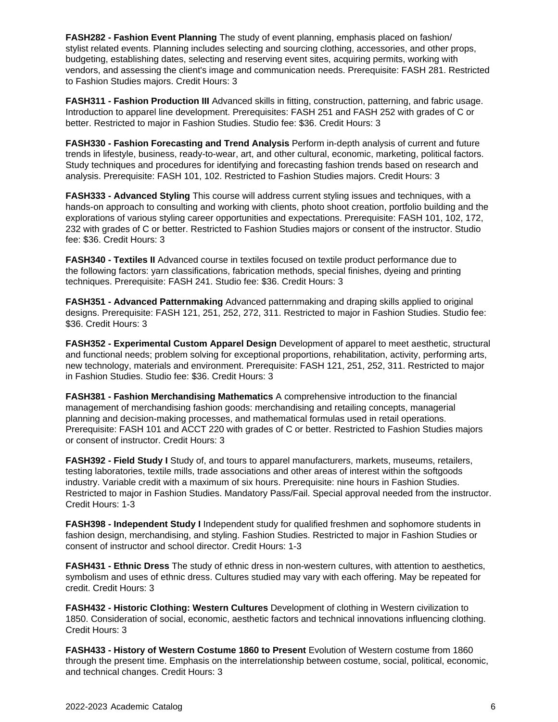**FASH282 - Fashion Event Planning** The study of event planning, emphasis placed on fashion/ stylist related events. Planning includes selecting and sourcing clothing, accessories, and other props, budgeting, establishing dates, selecting and reserving event sites, acquiring permits, working with vendors, and assessing the client's image and communication needs. Prerequisite: FASH 281. Restricted to Fashion Studies majors. Credit Hours: 3

**FASH311 - Fashion Production III** Advanced skills in fitting, construction, patterning, and fabric usage. Introduction to apparel line development. Prerequisites: FASH 251 and FASH 252 with grades of C or better. Restricted to major in Fashion Studies. Studio fee: \$36. Credit Hours: 3

**FASH330 - Fashion Forecasting and Trend Analysis** Perform in-depth analysis of current and future trends in lifestyle, business, ready-to-wear, art, and other cultural, economic, marketing, political factors. Study techniques and procedures for identifying and forecasting fashion trends based on research and analysis. Prerequisite: FASH 101, 102. Restricted to Fashion Studies majors. Credit Hours: 3

**FASH333 - Advanced Styling** This course will address current styling issues and techniques, with a hands-on approach to consulting and working with clients, photo shoot creation, portfolio building and the explorations of various styling career opportunities and expectations. Prerequisite: FASH 101, 102, 172, 232 with grades of C or better. Restricted to Fashion Studies majors or consent of the instructor. Studio fee: \$36. Credit Hours: 3

**FASH340 - Textiles II** Advanced course in textiles focused on textile product performance due to the following factors: yarn classifications, fabrication methods, special finishes, dyeing and printing techniques. Prerequisite: FASH 241. Studio fee: \$36. Credit Hours: 3

**FASH351 - Advanced Patternmaking** Advanced patternmaking and draping skills applied to original designs. Prerequisite: FASH 121, 251, 252, 272, 311. Restricted to major in Fashion Studies. Studio fee: \$36. Credit Hours: 3

**FASH352 - Experimental Custom Apparel Design** Development of apparel to meet aesthetic, structural and functional needs; problem solving for exceptional proportions, rehabilitation, activity, performing arts, new technology, materials and environment. Prerequisite: FASH 121, 251, 252, 311. Restricted to major in Fashion Studies. Studio fee: \$36. Credit Hours: 3

**FASH381 - Fashion Merchandising Mathematics** A comprehensive introduction to the financial management of merchandising fashion goods: merchandising and retailing concepts, managerial planning and decision-making processes, and mathematical formulas used in retail operations. Prerequisite: FASH 101 and ACCT 220 with grades of C or better. Restricted to Fashion Studies majors or consent of instructor. Credit Hours: 3

**FASH392 - Field Study I** Study of, and tours to apparel manufacturers, markets, museums, retailers, testing laboratories, textile mills, trade associations and other areas of interest within the softgoods industry. Variable credit with a maximum of six hours. Prerequisite: nine hours in Fashion Studies. Restricted to major in Fashion Studies. Mandatory Pass/Fail. Special approval needed from the instructor. Credit Hours: 1-3

**FASH398 - Independent Study I** Independent study for qualified freshmen and sophomore students in fashion design, merchandising, and styling. Fashion Studies. Restricted to major in Fashion Studies or consent of instructor and school director. Credit Hours: 1-3

**FASH431 - Ethnic Dress** The study of ethnic dress in non-western cultures, with attention to aesthetics, symbolism and uses of ethnic dress. Cultures studied may vary with each offering. May be repeated for credit. Credit Hours: 3

**FASH432 - Historic Clothing: Western Cultures** Development of clothing in Western civilization to 1850. Consideration of social, economic, aesthetic factors and technical innovations influencing clothing. Credit Hours: 3

**FASH433 - History of Western Costume 1860 to Present** Evolution of Western costume from 1860 through the present time. Emphasis on the interrelationship between costume, social, political, economic, and technical changes. Credit Hours: 3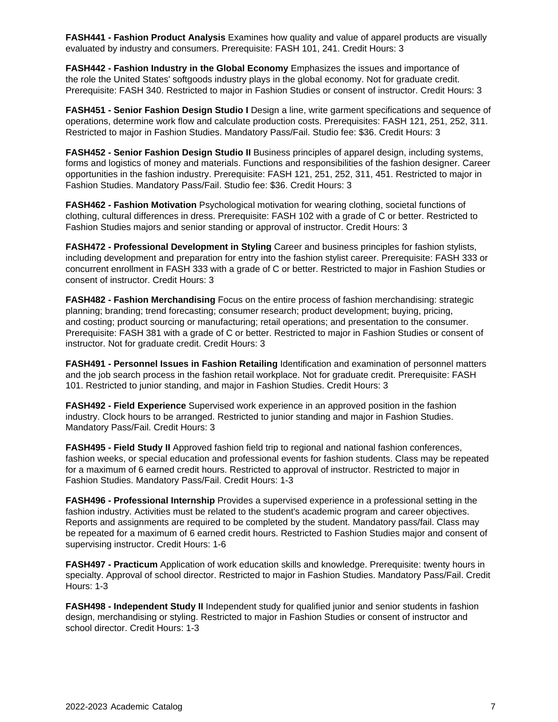**FASH441 - Fashion Product Analysis** Examines how quality and value of apparel products are visually evaluated by industry and consumers. Prerequisite: FASH 101, 241. Credit Hours: 3

**FASH442 - Fashion Industry in the Global Economy** Emphasizes the issues and importance of the role the United States' softgoods industry plays in the global economy. Not for graduate credit. Prerequisite: FASH 340. Restricted to major in Fashion Studies or consent of instructor. Credit Hours: 3

**FASH451 - Senior Fashion Design Studio I** Design a line, write garment specifications and sequence of operations, determine work flow and calculate production costs. Prerequisites: FASH 121, 251, 252, 311. Restricted to major in Fashion Studies. Mandatory Pass/Fail. Studio fee: \$36. Credit Hours: 3

**FASH452 - Senior Fashion Design Studio II** Business principles of apparel design, including systems, forms and logistics of money and materials. Functions and responsibilities of the fashion designer. Career opportunities in the fashion industry. Prerequisite: FASH 121, 251, 252, 311, 451. Restricted to major in Fashion Studies. Mandatory Pass/Fail. Studio fee: \$36. Credit Hours: 3

**FASH462 - Fashion Motivation** Psychological motivation for wearing clothing, societal functions of clothing, cultural differences in dress. Prerequisite: FASH 102 with a grade of C or better. Restricted to Fashion Studies majors and senior standing or approval of instructor. Credit Hours: 3

**FASH472 - Professional Development in Styling** Career and business principles for fashion stylists, including development and preparation for entry into the fashion stylist career. Prerequisite: FASH 333 or concurrent enrollment in FASH 333 with a grade of C or better. Restricted to major in Fashion Studies or consent of instructor. Credit Hours: 3

**FASH482 - Fashion Merchandising** Focus on the entire process of fashion merchandising: strategic planning; branding; trend forecasting; consumer research; product development; buying, pricing, and costing; product sourcing or manufacturing; retail operations; and presentation to the consumer. Prerequisite: FASH 381 with a grade of C or better. Restricted to major in Fashion Studies or consent of instructor. Not for graduate credit. Credit Hours: 3

**FASH491 - Personnel Issues in Fashion Retailing** Identification and examination of personnel matters and the job search process in the fashion retail workplace. Not for graduate credit. Prerequisite: FASH 101. Restricted to junior standing, and major in Fashion Studies. Credit Hours: 3

**FASH492 - Field Experience** Supervised work experience in an approved position in the fashion industry. Clock hours to be arranged. Restricted to junior standing and major in Fashion Studies. Mandatory Pass/Fail. Credit Hours: 3

**FASH495 - Field Study II** Approved fashion field trip to regional and national fashion conferences, fashion weeks, or special education and professional events for fashion students. Class may be repeated for a maximum of 6 earned credit hours. Restricted to approval of instructor. Restricted to major in Fashion Studies. Mandatory Pass/Fail. Credit Hours: 1-3

**FASH496 - Professional Internship** Provides a supervised experience in a professional setting in the fashion industry. Activities must be related to the student's academic program and career objectives. Reports and assignments are required to be completed by the student. Mandatory pass/fail. Class may be repeated for a maximum of 6 earned credit hours. Restricted to Fashion Studies major and consent of supervising instructor. Credit Hours: 1-6

**FASH497 - Practicum** Application of work education skills and knowledge. Prerequisite: twenty hours in specialty. Approval of school director. Restricted to major in Fashion Studies. Mandatory Pass/Fail. Credit Hours: 1-3

**FASH498 - Independent Study II** Independent study for qualified junior and senior students in fashion design, merchandising or styling. Restricted to major in Fashion Studies or consent of instructor and school director. Credit Hours: 1-3